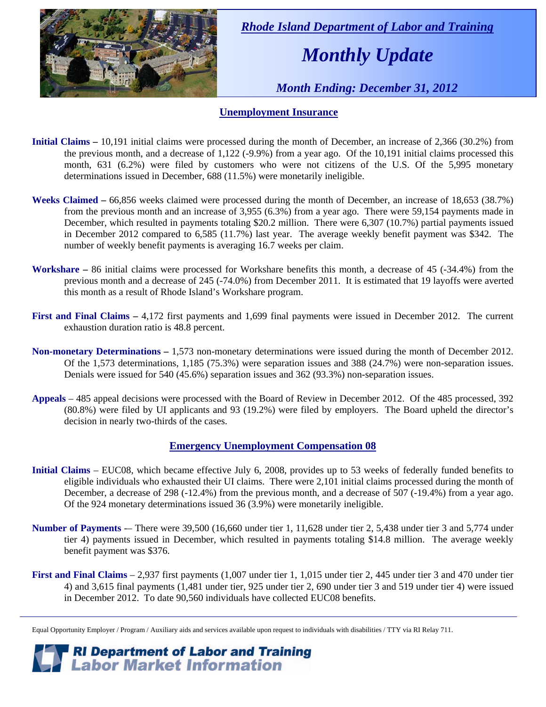

 *Rhode Island Department of Labor and Training* 

# *Monthly Update*

 *Month Ending: December 31, 2012* 

### **Unemployment Insurance**

- **Initial Claims** 10,191 initial claims were processed during the month of December, an increase of 2,366 (30.2%) from the previous month, and a decrease of 1,122 (-9.9%) from a year ago. Of the 10,191 initial claims processed this month, 631 (6.2%) were filed by customers who were not citizens of the U.S. Of the 5,995 monetary determinations issued in December, 688 (11.5%) were monetarily ineligible.
- **Weeks Claimed** 66,856 weeks claimed were processed during the month of December, an increase of 18,653 (38.7%) from the previous month and an increase of 3,955 (6.3%) from a year ago. There were 59,154 payments made in December, which resulted in payments totaling \$20.2 million. There were 6,307 (10.7%) partial payments issued in December 2012 compared to 6,585 (11.7%) last year. The average weekly benefit payment was \$342. The number of weekly benefit payments is averaging 16.7 weeks per claim.
- **Workshare –** 86 initial claims were processed for Workshare benefits this month, a decrease of 45 (-34.4%) from the previous month and a decrease of 245 (-74.0%) from December 2011. It is estimated that 19 layoffs were averted this month as a result of Rhode Island's Workshare program.
- **First and Final Claims –** 4,172 first payments and 1,699 final payments were issued in December 2012. The current exhaustion duration ratio is 48.8 percent.
- **Non-monetary Determinations –** 1,573 non-monetary determinations were issued during the month of December 2012. Of the 1,573 determinations, 1,185 (75.3%) were separation issues and 388 (24.7%) were non-separation issues. Denials were issued for 540 (45.6%) separation issues and 362 (93.3%) non-separation issues.
- **Appeals** 485 appeal decisions were processed with the Board of Review in December 2012. Of the 485 processed, 392 (80.8%) were filed by UI applicants and 93 (19.2%) were filed by employers. The Board upheld the director's decision in nearly two-thirds of the cases.

### **Emergency Unemployment Compensation 08**

- **Initial Claims**  EUC08, which became effective July 6, 2008, provides up to 53 weeks of federally funded benefits to eligible individuals who exhausted their UI claims. There were 2,101 initial claims processed during the month of December, a decrease of 298 (-12.4%) from the previous month, and a decrease of 507 (-19.4%) from a year ago. Of the 924 monetary determinations issued 36 (3.9%) were monetarily ineligible.
- **Number of Payments** -– There were 39,500 (16,660 under tier 1, 11,628 under tier 2, 5,438 under tier 3 and 5,774 under tier 4) payments issued in December, which resulted in payments totaling \$14.8 million. The average weekly benefit payment was \$376.
- **First and Final Claims**  2,937 first payments (1,007 under tier 1, 1,015 under tier 2, 445 under tier 3 and 470 under tier 4) and 3,615 final payments (1,481 under tier, 925 under tier 2, 690 under tier 3 and 519 under tier 4) were issued in December 2012. To date 90,560 individuals have collected EUC08 benefits.

*RI Department of Labor and Training*<br>*Labor Market Information* 

Equal Opportunity Employer / Program / Auxiliary aids and services available upon request to individuals with disabilities / TTY via RI Relay 711.